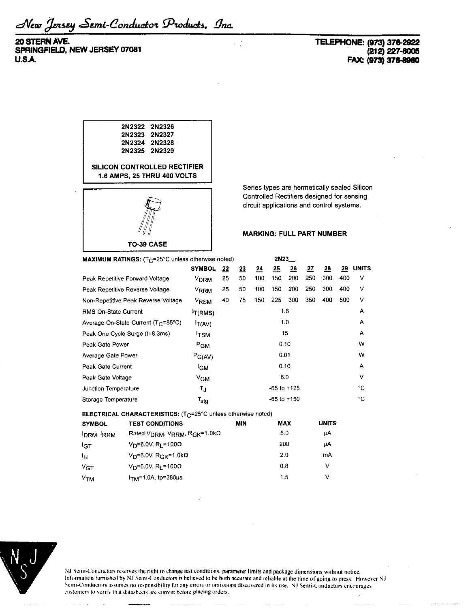New Jersey Semi-Conductor Products, Inc.

**20 STERN AVE. SPRINGFIELD, NEW JERSEY 07081 U.S.A.**

## **TELEPHONE: (973) 376-2922 (212)227-6005 FAX: (973) 376-8960**



Series types are hermetically sealed Silicon Controlled Rectifiers designed for sensing circuit applications and control systems.

## **MARKING: FULL PART NUMBER**

| <b>MAXIMUM RATINGS:</b> $(T_C=25^{\circ}C)$ unless otherwise noted) |                        |           | 2N23            |                 |     |     |     |           |     |              |
|---------------------------------------------------------------------|------------------------|-----------|-----------------|-----------------|-----|-----|-----|-----------|-----|--------------|
|                                                                     | <b>SYMBOL</b>          | <u>22</u> | $\overline{23}$ | $\overline{24}$ | 25  | 26  | 27  | <u>28</u> | 29  | <b>UNITS</b> |
| Peak Repetitive Forward Voltage                                     | <b>V<sub>DRM</sub></b> | 25        | 50              | 100             | 150 | 200 | 250 | 300       | 400 | v            |
| Peak Repetitive Reverse Voltage                                     | V <sub>RRM</sub>       | 25        | 50              | 100             | 150 | 200 | 250 | 300       | 400 | ν            |
| Non-Repetitive Peak Reverse Voltage                                 | V <sub>RSM</sub>       | 40        | 75              | 150             | 225 | 300 | 350 | 400       | 500 | ν            |
| <b>RMS On-State Current</b>                                         | <sup>I</sup> T(RMS)    |           | 1.6             |                 |     |     |     | А         |     |              |
| Average On-State Current (T <sub>C</sub> =85°C)                     | T(AV)                  |           | 1.0             |                 |     |     | А   |           |     |              |
| Peak One Cycle Surge (t=8.3ms)                                      | <sup>I</sup> TSM       |           | 15              |                 |     |     | A   |           |     |              |
| Peak Gate Power                                                     | $P_{GM}$               |           | 0.10            |                 |     |     | W   |           |     |              |
| Average Gate Power                                                  | $P_{G(AV)}$            |           | 0.01            |                 |     |     | W   |           |     |              |
| Peak Gate Current                                                   | <sup>I</sup> GM        |           | 0.10            |                 |     |     | Α   |           |     |              |
| Peak Gate Voltage                                                   | $V_{GM}$               |           |                 |                 |     | 6.0 |     |           |     | ٧            |
| Junction Temperature                                                | TJ                     |           | $-65$ to $+125$ |                 |     |     | °C  |           |     |              |
| Storage Temperature                                                 | $T_{\rm stq}$          |           | $-65$ to $+150$ |                 |     |     | °C  |           |     |              |

**ELECTRICAL CHARACTERISTICS:** (T<sub>C</sub>=25°C unless otherwise noted)

| <b>SYMBOL</b>   | <b>TEST CONDITIONS</b>                                                     | MIN | MAX | <b>UNITS</b> |
|-----------------|----------------------------------------------------------------------------|-----|-----|--------------|
| <b>DRM</b> RRM  | Rated $V_{\text{DRM}}$ , $V_{\text{RRM}}$ , $R_{\text{GK}}$ =1.0k $\Omega$ |     | 5.0 | μA           |
| 1 <sub>CT</sub> | V <sub>D</sub> =6.0V, R <sub>L</sub> =100 $\Omega$                         |     | 200 | μA           |
| ŀн              | V <sub>D</sub> =6.0V, R <sub>GK</sub> =1.0kΩ                               |     | 2.0 | mA           |
| $V_{\text{GT}}$ | $V_D = 6.0 V$ , R <sub>I</sub> = 100Ω                                      |     | 0.8 | v            |
| V <sub>TM</sub> | I <sub>TM</sub> =1.0A, tp=380µs                                            |     | 1.5 | v            |



NJ Semi-Conductors reserves the right to change test conditions, parameter limits and package dimensions without notice. Information furnished by NJ Semi-Conductors is believed to be both accurate and reliable at the time of going to press. However NJ Semi-Conductors assumes no responsibility for any errors or omissions discovered in its use. NJ Semi-Conductors encourages customers to verit'v that datusheets are current before placing orders.